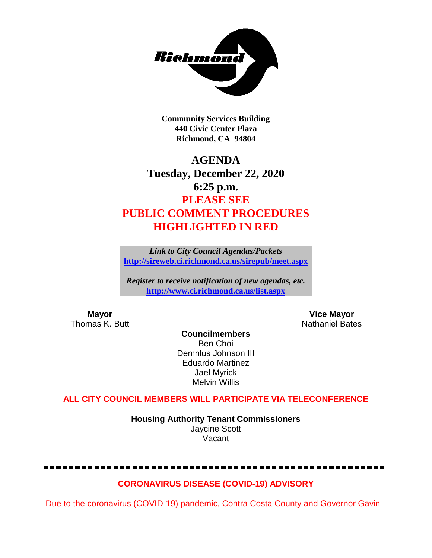

**Community Services Building 440 Civic Center Plaza Richmond, CA 94804**

# **AGENDA Tuesday, December 22, 2020 6:25 p.m. PLEASE SEE PUBLIC COMMENT PROCEDURES HIGHLIGHTED IN RED**

*Link to City Council Agendas/Packets* **<http://sireweb.ci.richmond.ca.us/sirepub/meet.aspx>**

*Register to receive notification of new agendas, etc.* **<http://www.ci.richmond.ca.us/list.aspx>**

**Mayor Mayor Wice Mayor Vice Mayor Vice Mayor Vice Mayor Vice Mayor Vice Mayor Vice Mayor Vice Mayor Vice Mayor Vice Mayor Vice Mayor Vice Mayor Vice Mayor Vice Mayor Vice Mayor Vice Mayor** Nathaniel Bates

**Councilmembers** Ben Choi Demnlus Johnson III Eduardo Martinez Jael Myrick Melvin Willis

# **ALL CITY COUNCIL MEMBERS WILL PARTICIPATE VIA TELECONFERENCE**

**Housing Authority Tenant Commissioners** Jaycine Scott Vacant

# **CORONAVIRUS DISEASE (COVID-19) ADVISORY**

Due to the coronavirus (COVID-19) pandemic, Contra Costa County and Governor Gavin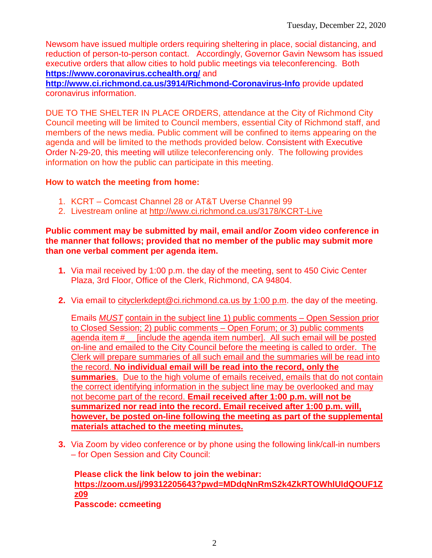Newsom have issued multiple orders requiring sheltering in place, social distancing, and reduction of person-to-person contact. Accordingly, Governor Gavin Newsom has issued executive orders that allow cities to hold public meetings via teleconferencing. Both **<https://www.coronavirus.cchealth.org/>** and

**<http://www.ci.richmond.ca.us/3914/Richmond-Coronavirus-Info>** provide updated coronavirus information.

DUE TO THE SHELTER IN PLACE ORDERS, attendance at the City of Richmond City Council meeting will be limited to Council members, essential City of Richmond staff, and members of the news media. Public comment will be confined to items appearing on the agenda and will be limited to the methods provided below. Consistent with Executive Order N-29-20, this meeting will utilize teleconferencing only. The following provides information on how the public can participate in this meeting.

### **How to watch the meeting from home:**

- 1. KCRT Comcast Channel 28 or AT&T Uverse Channel 99
- 2. Livestream online at<http://www.ci.richmond.ca.us/3178/KCRT-Live>

#### **Public comment may be submitted by mail, email and/or Zoom video conference in the manner that follows; provided that no member of the public may submit more than one verbal comment per agenda item.**

- **1.** Via mail received by 1:00 p.m. the day of the meeting, sent to 450 Civic Center Plaza, 3rd Floor, Office of the Clerk, Richmond, CA 94804.
- **2.** Via email to [cityclerkdept@ci.richmond.ca.us](mailto:cityclerkdept@ci.richmond.ca.us) by 1:00 p.m. the day of the meeting.

Emails *MUST* contain in the subject line 1) public comments – Open Session prior to Closed Session; 2) public comments – Open Forum; or 3) public comments agenda item #\_\_ [include the agenda item number]. All such email will be posted on-line and emailed to the City Council before the meeting is called to order. The Clerk will prepare summaries of all such email and the summaries will be read into the record. **No individual email will be read into the record, only the summaries**. Due to the high volume of emails received, emails that do not contain the correct identifying information in the subject line may be overlooked and may not become part of the record. **Email received after 1:00 p.m. will not be summarized nor read into the record. Email received after 1:00 p.m. will, however, be posted on-line following the meeting as part of the supplemental materials attached to the meeting minutes.**

**3.** Via Zoom by video conference or by phone using the following link/call-in numbers – for Open Session and City Council:

**Please click the link below to join the webinar: [https://zoom.us/j/99312205643?pwd=MDdqNnRmS2k4ZkRTOWhlUldQOUF1Z](https://zoom.us/j/99312205643?pwd=MDdqNnRmS2k4ZkRTOWhlUldQOUF1Zz09) [z09](https://zoom.us/j/99312205643?pwd=MDdqNnRmS2k4ZkRTOWhlUldQOUF1Zz09) Passcode: ccmeeting**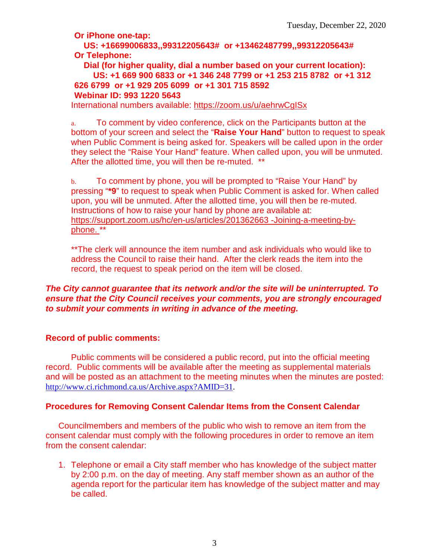**Or iPhone one-tap:**

**US: +16699006833,,99312205643# or +13462487799,,99312205643# Or Telephone:**

**Dial (for higher quality, dial a number based on your current location): US: +1 669 900 6833 or +1 346 248 7799 or +1 253 215 8782 or +1 312 626 6799 or +1 929 205 6099 or +1 301 715 8592 Webinar ID: 993 1220 5643**

International numbers available:<https://zoom.us/u/aehrwCgISx>

a. To comment by video conference, click on the Participants button at the bottom of your screen and select the "**Raise Your Hand**" button to request to speak when Public Comment is being asked for. Speakers will be called upon in the order they select the "Raise Your Hand" feature. When called upon, you will be unmuted. After the allotted time, you will then be re-muted. \*\*

b. To comment by phone, you will be prompted to "Raise Your Hand" by pressing "**\*9**" to request to speak when Public Comment is asked for. When called upon, you will be unmuted. After the allotted time, you will then be re-muted. Instructions of how to raise your hand by phone are available at: [https://support.zoom.us/hc/en-us/articles/201362663 -Joining-a-meeting-by](https://support.zoom.us/hc/en-us/articles/201362663)[phone.](https://support.zoom.us/hc/en-us/articles/201362663) \*\*

\*\*The clerk will announce the item number and ask individuals who would like to address the Council to raise their hand. After the clerk reads the item into the record, the request to speak period on the item will be closed.

#### *The City cannot guarantee that its network and/or the site will be uninterrupted. To ensure that the City Council receives your comments, you are strongly encouraged to submit your comments in writing in advance of the meeting.*

#### **Record of public comments:**

Public comments will be considered a public record, put into the official meeting record. Public comments will be available after the meeting as supplemental materials and will be posted as an attachment to the meeting minutes when the minutes are posted: [http://www.ci.richmond.ca.us/Archive.aspx?AMID=31.](http://www.ci.richmond.ca.us/Archive.aspx?AMID=31)

# **Procedures for Removing Consent Calendar Items from the Consent Calendar**

Councilmembers and members of the public who wish to remove an item from the consent calendar must comply with the following procedures in order to remove an item from the consent calendar:

1. Telephone or email a City staff member who has knowledge of the subject matter by 2:00 p.m. on the day of meeting. Any staff member shown as an author of the agenda report for the particular item has knowledge of the subject matter and may be called.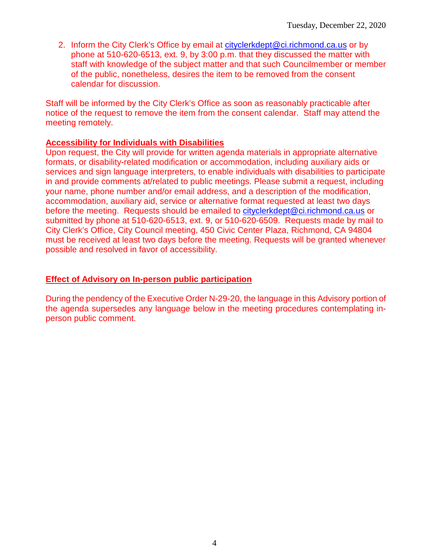2. Inform the City Clerk's Office by email at [cityclerkdept@ci.richmond.ca.us](mailto:cityclerkdept@ci.richmond.ca.us) or by phone at 510-620-6513, ext. 9, by 3:00 p.m. that they discussed the matter with staff with knowledge of the subject matter and that such Councilmember or member of the public, nonetheless, desires the item to be removed from the consent calendar for discussion.

Staff will be informed by the City Clerk's Office as soon as reasonably practicable after notice of the request to remove the item from the consent calendar. Staff may attend the meeting remotely.

#### **Accessibility for Individuals with Disabilities**

Upon request, the City will provide for written agenda materials in appropriate alternative formats, or disability-related modification or accommodation, including auxiliary aids or services and sign language interpreters, to enable individuals with disabilities to participate in and provide comments at/related to public meetings. Please submit a request, including your name, phone number and/or email address, and a description of the modification, accommodation, auxiliary aid, service or alternative format requested at least two days before the meeting. Requests should be emailed to [cityclerkdept@ci.richmond.ca.us](mailto:cityclerkdept@ci.richmond.ca.us) or submitted by phone at 510-620-6513, ext. 9, or 510-620-6509. Requests made by mail to City Clerk's Office, City Council meeting, 450 Civic Center Plaza, Richmond, CA 94804 must be received at least two days before the meeting. Requests will be granted whenever possible and resolved in favor of accessibility.

#### **Effect of Advisory on In-person public participation**

During the pendency of the Executive Order N-29-20, the language in this Advisory portion of the agenda supersedes any language below in the meeting procedures contemplating inperson public comment.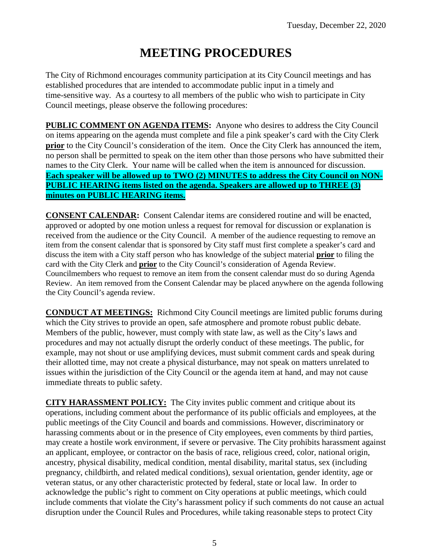# **MEETING PROCEDURES**

The City of Richmond encourages community participation at its City Council meetings and has established procedures that are intended to accommodate public input in a timely and time-sensitive way. As a courtesy to all members of the public who wish to participate in City Council meetings, please observe the following procedures:

**PUBLIC COMMENT ON AGENDA ITEMS:** Anyone who desires to address the City Council on items appearing on the agenda must complete and file a pink speaker's card with the City Clerk **prior** to the City Council's consideration of the item. Once the City Clerk has announced the item, no person shall be permitted to speak on the item other than those persons who have submitted their names to the City Clerk. Your name will be called when the item is announced for discussion. **Each speaker will be allowed up to TWO (2) MINUTES to address the City Council on NON-PUBLIC HEARING items listed on the agenda. Speakers are allowed up to THREE (3) minutes on PUBLIC HEARING items.**

**CONSENT CALENDAR:** Consent Calendar items are considered routine and will be enacted, approved or adopted by one motion unless a request for removal for discussion or explanation is received from the audience or the City Council. A member of the audience requesting to remove an item from the consent calendar that is sponsored by City staff must first complete a speaker's card and discuss the item with a City staff person who has knowledge of the subject material **prior** to filing the card with the City Clerk and **prior** to the City Council's consideration of Agenda Review. Councilmembers who request to remove an item from the consent calendar must do so during Agenda Review. An item removed from the Consent Calendar may be placed anywhere on the agenda following the City Council's agenda review.

**CONDUCT AT MEETINGS:** Richmond City Council meetings are limited public forums during which the City strives to provide an open, safe atmosphere and promote robust public debate. Members of the public, however, must comply with state law, as well as the City's laws and procedures and may not actually disrupt the orderly conduct of these meetings. The public, for example, may not shout or use amplifying devices, must submit comment cards and speak during their allotted time, may not create a physical disturbance, may not speak on matters unrelated to issues within the jurisdiction of the City Council or the agenda item at hand, and may not cause immediate threats to public safety.

**CITY HARASSMENT POLICY:** The City invites public comment and critique about its operations, including comment about the performance of its public officials and employees, at the public meetings of the City Council and boards and commissions. However, discriminatory or harassing comments about or in the presence of City employees, even comments by third parties, may create a hostile work environment, if severe or pervasive. The City prohibits harassment against an applicant, employee, or contractor on the basis of race, religious creed, color, national origin, ancestry, physical disability, medical condition, mental disability, marital status, sex (including pregnancy, childbirth, and related medical conditions), sexual orientation, gender identity, age or veteran status, or any other characteristic protected by federal, state or local law. In order to acknowledge the public's right to comment on City operations at public meetings, which could include comments that violate the City's harassment policy if such comments do not cause an actual disruption under the Council Rules and Procedures, while taking reasonable steps to protect City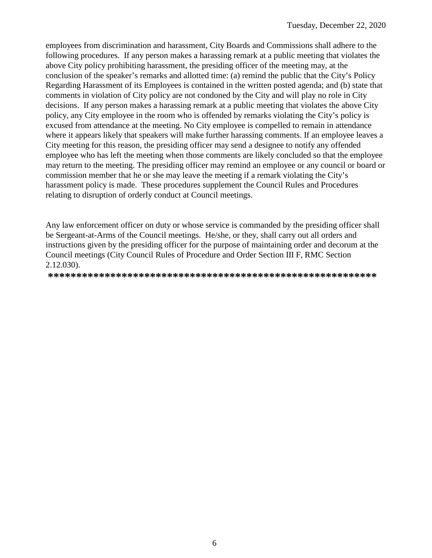employees from discrimination and harassment, City Boards and Commissions shall adhere to the following procedures. If any person makes a harassing remark at a public meeting that violates the above City policy prohibiting harassment, the presiding officer of the meeting may, at the conclusion of the speaker's remarks and allotted time: (a) remind the public that the City's Policy Regarding Harassment of its Employees is contained in the written posted agenda; and (b) state that comments in violation of City policy are not condoned by the City and will play no role in City decisions. If any person makes a harassing remark at a public meeting that violates the above City policy, any City employee in the room who is offended by remarks violating the City's policy is excused from attendance at the meeting. No City employee is compelled to remain in attendance where it appears likely that speakers will make further harassing comments. If an employee leaves a City meeting for this reason, the presiding officer may send a designee to notify any offended employee who has left the meeting when those comments are likely concluded so that the employee may return to the meeting. The presiding officer may remind an employee or any council or board or commission member that he or she may leave the meeting if a remark violating the City's harassment policy is made. These procedures supplement the Council Rules and Procedures relating to disruption of orderly conduct at Council meetings.

Any law enforcement officer on duty or whose service is commanded by the presiding officer shall be Sergeant-at-Arms of the Council meetings. He/she, or they, shall carry out all orders and instructions given by the presiding officer for the purpose of maintaining order and decorum at the Council meetings (City Council Rules of Procedure and Order Section III F, RMC Section 2.12.030).

**\*\*\*\*\*\*\*\*\*\*\*\*\*\*\*\*\*\*\*\*\*\*\*\*\*\*\*\*\*\*\*\*\*\*\*\*\*\*\*\*\*\*\*\*\*\*\*\*\*\*\*\*\*\*\*\*\*\***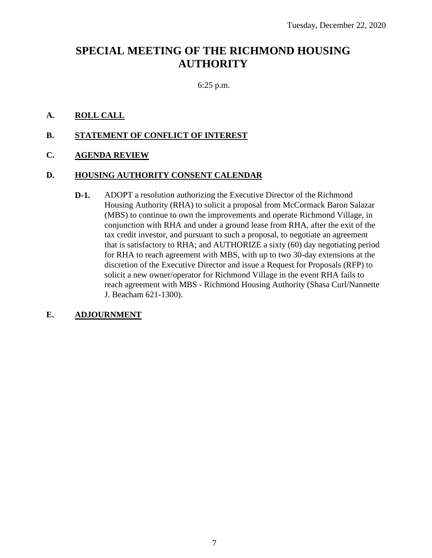# **SPECIAL MEETING OF THE RICHMOND HOUSING AUTHORITY**

6:25 p.m.

## **A. ROLL CALL**

#### **B. STATEMENT OF CONFLICT OF INTEREST**

#### **C. AGENDA REVIEW**

#### **D. HOUSING AUTHORITY CONSENT CALENDAR**

**D-1.** ADOPT a resolution authorizing the Executive Director of the Richmond Housing Authority (RHA) to solicit a proposal from McCormack Baron Salazar (MBS) to continue to own the improvements and operate Richmond Village, in conjunction with RHA and under a ground lease from RHA, after the exit of the tax credit investor, and pursuant to such a proposal, to negotiate an agreement that is satisfactory to RHA; and AUTHORIZE a sixty (60) day negotiating period for RHA to reach agreement with MBS, with up to two 30-day extensions at the discretion of the Executive Director and issue a Request for Proposals (RFP) to solicit a new owner/operator for Richmond Village in the event RHA fails to reach agreement with MBS - Richmond Housing Authority (Shasa Curl/Nannette J. Beacham 621-1300).

#### **E. ADJOURNMENT**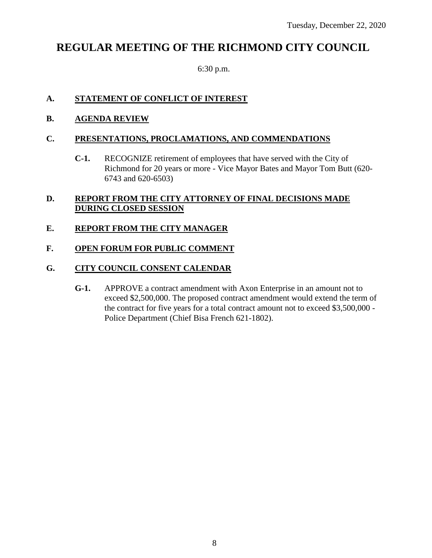# **REGULAR MEETING OF THE RICHMOND CITY COUNCIL**

6:30 p.m.

# **A. STATEMENT OF CONFLICT OF INTEREST**

**B. AGENDA REVIEW**

## **C. PRESENTATIONS, PROCLAMATIONS, AND COMMENDATIONS**

**C-1.** RECOGNIZE retirement of employees that have served with the City of Richmond for 20 years or more - Vice Mayor Bates and Mayor Tom Butt (620- 6743 and 620-6503)

# **D. REPORT FROM THE CITY ATTORNEY OF FINAL DECISIONS MADE DURING CLOSED SESSION**

# **E. REPORT FROM THE CITY MANAGER**

# **F. OPEN FORUM FOR PUBLIC COMMENT**

# **G. CITY COUNCIL CONSENT CALENDAR**

**G-1.** APPROVE a contract amendment with Axon Enterprise in an amount not to exceed \$2,500,000. The proposed contract amendment would extend the term of the contract for five years for a total contract amount not to exceed \$3,500,000 - Police Department (Chief Bisa French 621-1802).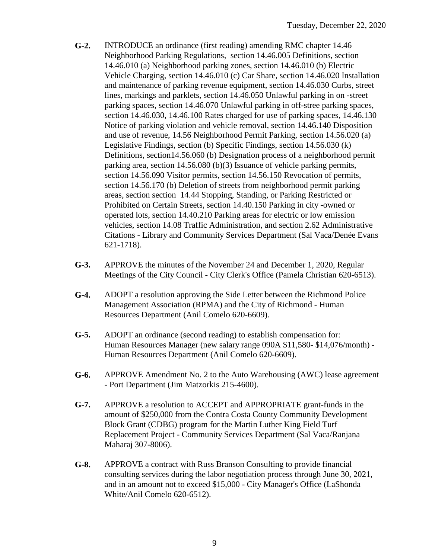- **G-2.** INTRODUCE an ordinance (first reading) amending RMC chapter 14.46 Neighborhood Parking Regulations, section 14.46.005 Definitions, section 14.46.010 (a) Neighborhood parking zones, section 14.46.010 (b) Electric Vehicle Charging, section 14.46.010 (c) Car Share, section 14.46.020 Installation and maintenance of parking revenue equipment, section 14.46.030 Curbs, street lines, markings and parklets, section 14.46.050 Unlawful parking in on -street parking spaces, section 14.46.070 Unlawful parking in off-stree parking spaces, section 14.46.030, 14.46.100 Rates charged for use of parking spaces, 14.46.130 Notice of parking violation and vehicle removal, section 14.46.140 Disposition and use of revenue, 14.56 Neighborhood Permit Parking, section 14.56.020 (a) Legislative Findings, section (b) Specific Findings, section 14.56.030 (k) Definitions, section14.56.060 (b) Designation process of a neighborhood permit parking area, section 14.56.080 (b)(3) Issuance of vehicle parking permits, section 14.56.090 Visitor permits, section 14.56.150 Revocation of permits, section 14.56.170 (b) Deletion of streets from neighborhood permit parking areas, section section 14.44 Stopping, Standing, or Parking Restricted or Prohibited on Certain Streets, section 14.40.150 Parking in city -owned or operated lots, section 14.40.210 Parking areas for electric or low emission vehicles, section 14.08 Traffic Administration, and section 2.62 Administrative Citations - Library and Community Services Department (Sal Vaca/Denée Evans 621-1718).
- **G-3.** APPROVE the minutes of the November 24 and December 1, 2020, Regular Meetings of the City Council - City Clerk's Office (Pamela Christian 620-6513).
- **G-4.** ADOPT a resolution approving the Side Letter between the Richmond Police Management Association (RPMA) and the City of Richmond - Human Resources Department (Anil Comelo 620-6609).
- **G-5.** ADOPT an ordinance (second reading) to establish compensation for: Human Resources Manager (new salary range 090A \$11,580- \$14,076/month) - Human Resources Department (Anil Comelo 620-6609).
- **G-6.** APPROVE Amendment No. 2 to the Auto Warehousing (AWC) lease agreement - Port Department (Jim Matzorkis 215-4600).
- **G-7.** APPROVE a resolution to ACCEPT and APPROPRIATE grant-funds in the amount of \$250,000 from the Contra Costa County Community Development Block Grant (CDBG) program for the Martin Luther King Field Turf Replacement Project - Community Services Department (Sal Vaca/Ranjana Maharaj 307-8006).
- **G-8.** APPROVE a contract with Russ Branson Consulting to provide financial consulting services during the labor negotiation process through June 30, 2021, and in an amount not to exceed \$15,000 - City Manager's Office (LaShonda White/Anil Comelo 620-6512).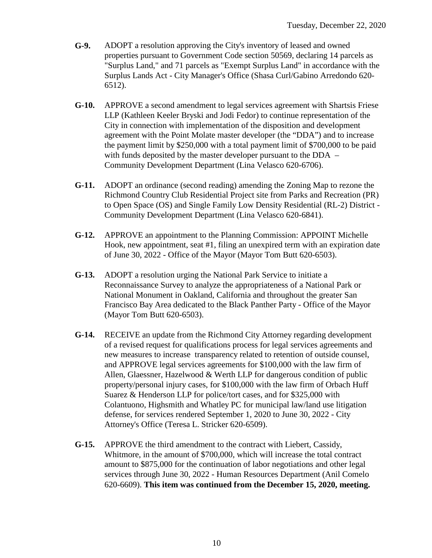- **G-9.** ADOPT a resolution approving the City's inventory of leased and owned properties pursuant to Government Code section 50569, declaring 14 parcels as "Surplus Land," and 71 parcels as "Exempt Surplus Land" in accordance with the Surplus Lands Act - City Manager's Office (Shasa Curl/Gabino Arredondo 620- 6512).
- **G-10.** APPROVE a second amendment to legal services agreement with Shartsis Friese LLP (Kathleen Keeler Bryski and Jodi Fedor) to continue representation of the City in connection with implementation of the disposition and development agreement with the Point Molate master developer (the "DDA") and to increase the payment limit by \$250,000 with a total payment limit of \$700,000 to be paid with funds deposited by the master developer pursuant to the DDA – Community Development Department (Lina Velasco 620-6706).
- **G-11.** ADOPT an ordinance (second reading) amending the Zoning Map to rezone the Richmond Country Club Residential Project site from Parks and Recreation (PR) to Open Space (OS) and Single Family Low Density Residential (RL-2) District - Community Development Department (Lina Velasco 620-6841).
- **G-12.** APPROVE an appointment to the Planning Commission: APPOINT Michelle Hook, new appointment, seat #1, filing an unexpired term with an expiration date of June 30, 2022 - Office of the Mayor (Mayor Tom Butt 620-6503).
- **G-13.** ADOPT a resolution urging the National Park Service to initiate a Reconnaissance Survey to analyze the appropriateness of a National Park or National Monument in Oakland, California and throughout the greater San Francisco Bay Area dedicated to the Black Panther Party - Office of the Mayor (Mayor Tom Butt 620-6503).
- **G-14.** RECEIVE an update from the Richmond City Attorney regarding development of a revised request for qualifications process for legal services agreements and new measures to increase transparency related to retention of outside counsel, and APPROVE legal services agreements for \$100,000 with the law firm of Allen, Glaessner, Hazelwood & Werth LLP for dangerous condition of public property/personal injury cases, for \$100,000 with the law firm of Orbach Huff Suarez & Henderson LLP for police/tort cases, and for \$325,000 with Colantuono, Highsmith and Whatley PC for municipal law/land use litigation defense, for services rendered September 1, 2020 to June 30, 2022 - City Attorney's Office (Teresa L. Stricker 620-6509).
- **G-15.** APPROVE the third amendment to the contract with Liebert, Cassidy, Whitmore, in the amount of \$700,000, which will increase the total contract amount to \$875,000 for the continuation of labor negotiations and other legal services through June 30, 2022 - Human Resources Department (Anil Comelo 620-6609). **This item was continued from the December 15, 2020, meeting.**